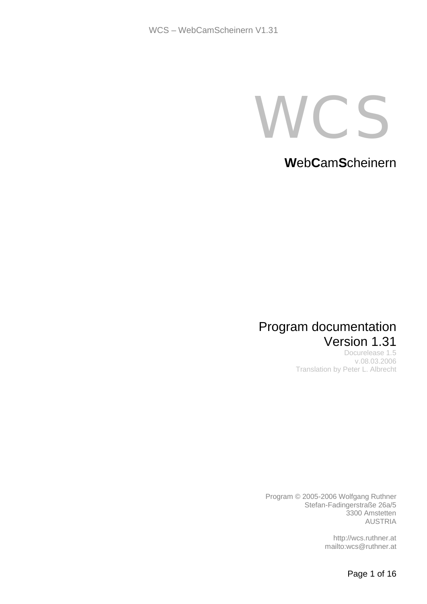C.S

**W**eb**C**am**S**cheinern

# Program documentation Version 1.31

Docurelease 1.5 v.08.03.2006 Translation by Peter L. Albrecht

Program © 2005-2006 Wolfgang Ruthner Stefan-Fadingerstraße 26a/5 3300 Amstetten AUSTRIA

> http://wcs.ruthner.at mailto:wcs@ruthner.at

> > Page 1 of 16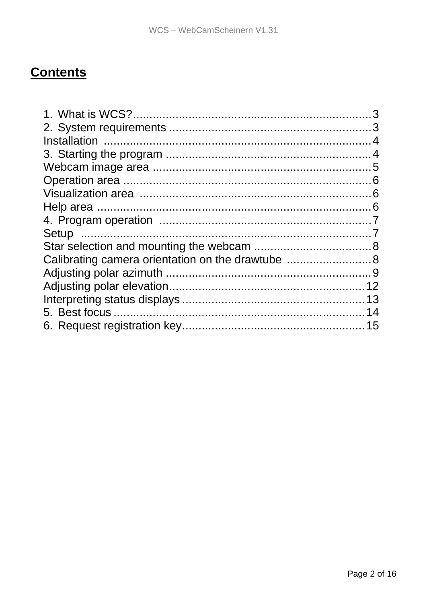# **Contents**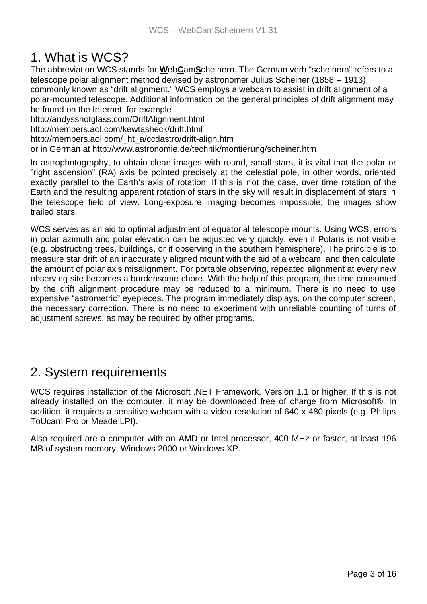# 1. What is WCS?

The abbreviation WCS stands for **W**eb**C**am**S**cheinern. The German verb "scheinern" refers to a telescope polar alignment method devised by astronomer Julius Scheiner (1858 – 1913), commonly known as "drift alignment." WCS employs a webcam to assist in drift alignment of a polar-mounted telescope. Additional information on the general principles of drift alignment may be found on the Internet, for example

http://andysshotglass.com/DriftAlignment.html http://members.aol.com/kewtasheck/drift.html http://members.aol.com/\_ht\_a/ccdastro/drift-align.htm

or in German at http://www.astronomie.de/technik/montierung/scheiner.htm

In astrophotography, to obtain clean images with round, small stars, it is vital that the polar or "right ascension" (RA) axis be pointed precisely at the celestial pole, in other words, oriented exactly parallel to the Earth's axis of rotation. If this is not the case, over time rotation of the Earth and the resulting apparent rotation of stars in the sky will result in displacement of stars in the telescope field of view. Long-exposure imaging becomes impossible; the images show trailed stars.

WCS serves as an aid to optimal adjustment of equatorial telescope mounts. Using WCS, errors in polar azimuth and polar elevation can be adjusted very quickly, even if Polaris is not visible (e.g. obstructing trees, buildings, or if observing in the southern hemisphere). The principle is to measure star drift of an inaccurately aligned mount with the aid of a webcam, and then calculate the amount of polar axis misalignment. For portable observing, repeated alignment at every new observing site becomes a burdensome chore. With the help of this program, the time consumed by the drift alignment procedure may be reduced to a minimum. There is no need to use expensive "astrometric" eyepieces. The program immediately displays, on the computer screen, the necessary correction. There is no need to experiment with unreliable counting of turns of adjustment screws, as may be required by other programs.

## 2. System requirements

WCS requires installation of the Microsoft .NET Framework, Version 1.1 or higher. If this is not already installed on the computer, it may be downloaded free of charge from Microsoft®. In addition, it requires a sensitive webcam with a video resolution of 640 x 480 pixels (e.g. Philips ToUcam Pro or Meade LPI).

Also required are a computer with an AMD or Intel processor, 400 MHz or faster, at least 196 MB of system memory, Windows 2000 or Windows XP.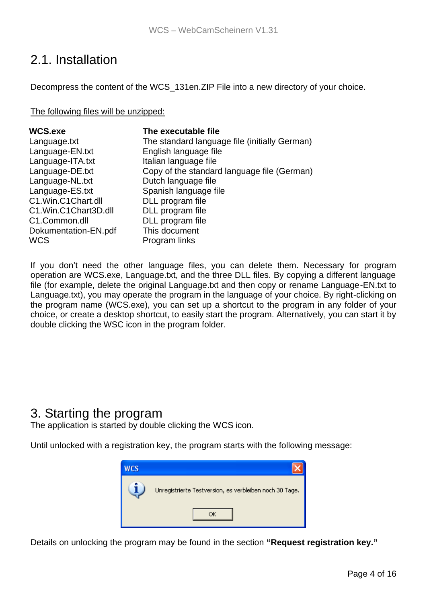# 2.1. Installation

Decompress the content of the WCS\_131en.ZIP File into a new directory of your choice.

The following files will be unzipped:

| WCS.exe              | The executable file                           |
|----------------------|-----------------------------------------------|
| Language.txt         | The standard language file (initially German) |
| Language-EN.txt      | English language file                         |
| Language-ITA.txt     | Italian language file                         |
| Language-DE.txt      | Copy of the standard language file (German)   |
| Language-NL.txt      | Dutch language file                           |
| Language-ES.txt      | Spanish language file                         |
| C1.Win.C1Chart.dll   | DLL program file                              |
| C1.Win.C1Chart3D.dll | DLL program file                              |
| C1.Common.dll        | DLL program file                              |
| Dokumentation-EN.pdf | This document                                 |
| <b>WCS</b>           | Program links                                 |

If you don't need the other language files, you can delete them. Necessary for program operation are WCS.exe, Language.txt, and the three DLL files. By copying a different language file (for example, delete the original Language.txt and then copy or rename Language-EN.txt to Language.txt), you may operate the program in the language of your choice. By right-clicking on the program name (WCS.exe), you can set up a shortcut to the program in any folder of your choice, or create a desktop shortcut, to easily start the program. Alternatively, you can start it by double clicking the WSC icon in the program folder.

### 3. Starting the program

The application is started by double clicking the WCS icon.

Until unlocked with a registration key, the program starts with the following message:



Details on unlocking the program may be found in the section **"Request registration key."**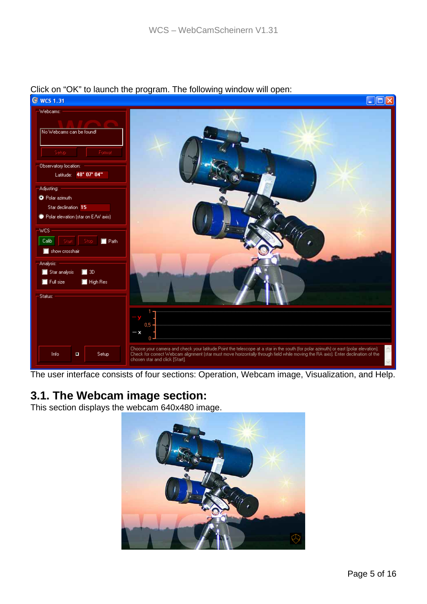

#### Click on "OK" to launch the program. The following window will open:

The user interface consists of four sections: Operation, Webcam image, Visualization, and Help.

### **3.1. The Webcam image section:**

This section displays the webcam 640x480 image.

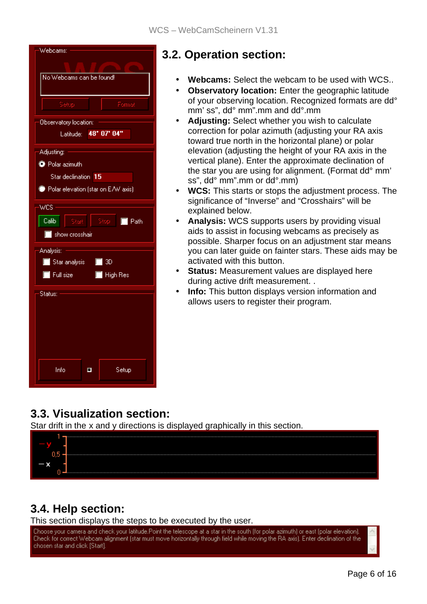| Webcams:                                            |  |  |
|-----------------------------------------------------|--|--|
|                                                     |  |  |
| No Webcams can be found!                            |  |  |
|                                                     |  |  |
| Setup<br>Format                                     |  |  |
| Observatory location:                               |  |  |
| 48* 07' 04"<br>Latitude:                            |  |  |
| Adjusting:                                          |  |  |
| <sup>O</sup> Polar azimuth                          |  |  |
| Star declination 15                                 |  |  |
| Polar elevation (star on E/W axis)                  |  |  |
| WCS.                                                |  |  |
| Calib<br>Stop -<br>$\blacksquare$ Path<br>Start     |  |  |
| show crosshair                                      |  |  |
| Analysis:                                           |  |  |
| Star analysis 4 3D                                  |  |  |
| $\blacksquare$ Full size<br>$\blacksquare$ High Res |  |  |
| Status:                                             |  |  |
|                                                     |  |  |
|                                                     |  |  |
|                                                     |  |  |
|                                                     |  |  |
|                                                     |  |  |
| Info<br>Setup<br>Ξ                                  |  |  |
|                                                     |  |  |

# **3.2. Operation section:**

- **Webcams:** Select the webcam to be used with WCS..
- **Observatory location:** Enter the geographic latitude of your observing location. Recognized formats are dd° mm' ss", dd° mm".mm and dd°.mm
- **Adjusting:** Select whether you wish to calculate correction for polar azimuth (adjusting your RA axis toward true north in the horizontal plane) or polar elevation (adjusting the height of your RA axis in the vertical plane). Enter the approximate declination of the star you are using for alignment. (Format dd° mm' ss", dd° mm".mm or dd°.mm)
- **WCS:** This starts or stops the adjustment process. The significance of "Inverse" and "Crosshairs" will be explained below.
- **Analysis:** WCS supports users by providing visual aids to assist in focusing webcams as precisely as possible. Sharper focus on an adjustment star means you can later guide on fainter stars. These aids may be activated with this button.
- **Status:** Measurement values are displayed here during active drift measurement. .
- **Info:** This button displays version information and allows users to register their program.

## **3.3. Visualization section:**

Star drift in the x and y directions is displayed graphically in this section.



## **3.4. Help section:**

This section displays the steps to be executed by the user.

Choose your camera and check your latitude.Point the telescope at a star in the south (for polar azimuth) or east (polar elevation). Check for correct Webcam alignment (star must move horizontally through field while moving the RA axis). Enter declination of the chosen star and click [Start].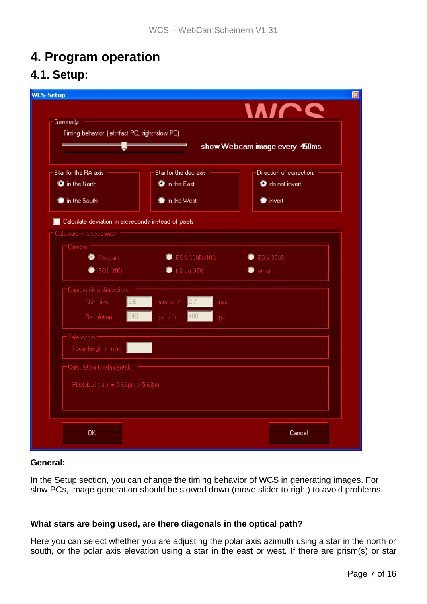# **4. Program operation 4.1. Setup:**

| <b>WCS-Setup</b>                                                                |                                |                          |  |
|---------------------------------------------------------------------------------|--------------------------------|--------------------------|--|
|                                                                                 |                                | <b>MICC</b>              |  |
| Generally:                                                                      |                                |                          |  |
| Timing behavior (left=fast PC, right=slow PC).                                  |                                |                          |  |
|                                                                                 | show Webcam image every 450ms. |                          |  |
|                                                                                 |                                |                          |  |
| Star for the RA axis                                                            | Star for the declaxis.         | Direction of correction: |  |
| <b>O</b> in the North                                                           | <b>O</b> in the East           | <b>O</b> do not invert   |  |
| in the South                                                                    | $\bullet$ in the West          | $\bullet$ invert         |  |
|                                                                                 |                                |                          |  |
| Calculate deviation in arcseconds instead of pixels<br>Calculate in arcseconds. |                                |                          |  |
| - Camera I                                                                      |                                |                          |  |
| <b>C</b> Toucam                                                                 | C EDS 300D/10D                 | C EOS 3500               |  |
| C EOS 20D                                                                       | tikon D70                      | tother                   |  |
|                                                                                 |                                |                          |  |
| Camera chip dimensions                                                          |                                |                          |  |
| Chip size<br>3,61                                                               | mm x Y:<br> 2.7 <br>mm         |                          |  |
| 640<br><b>Flecolution</b>                                                       | 480<br>palla Y:<br>DX.         |                          |  |
| Telescope:                                                                      |                                |                          |  |
| Focal length in mm:                                                             |                                |                          |  |
| Calculation fundamentals                                                        |                                |                          |  |
|                                                                                 |                                |                          |  |
| Pixelbize X x Y = 5,62pm x 5,63pm                                               |                                |                          |  |
|                                                                                 |                                |                          |  |
|                                                                                 |                                |                          |  |
| <b>OK</b>                                                                       |                                | Cancel                   |  |
|                                                                                 |                                |                          |  |

#### **General:**

In the Setup section, you can change the timing behavior of WCS in generating images. For slow PCs, image generation should be slowed down (move slider to right) to avoid problems.

#### **What stars are being used, are there diagonals in the optical path?**

Here you can select whether you are adjusting the polar axis azimuth using a star in the north or south, or the polar axis elevation using a star in the east or west. If there are prism(s) or star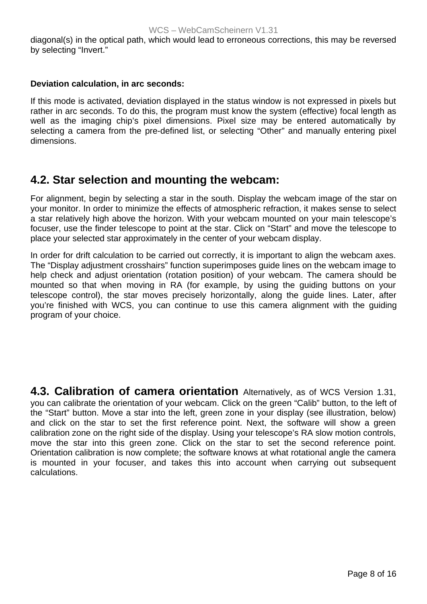diagonal(s) in the optical path, which would lead to erroneous corrections, this may be reversed by selecting "Invert."

#### **Deviation calculation, in arc seconds:**

If this mode is activated, deviation displayed in the status window is not expressed in pixels but rather in arc seconds. To do this, the program must know the system (effective) focal length as well as the imaging chip's pixel dimensions. Pixel size may be entered automatically by selecting a camera from the pre-defined list, or selecting "Other" and manually entering pixel dimensions.

### **4.2. Star selection and mounting the webcam:**

For alignment, begin by selecting a star in the south. Display the webcam image of the star on your monitor. In order to minimize the effects of atmospheric refraction, it makes sense to select a star relatively high above the horizon. With your webcam mounted on your main telescope's focuser, use the finder telescope to point at the star. Click on "Start" and move the telescope to place your selected star approximately in the center of your webcam display.

In order for drift calculation to be carried out correctly, it is important to align the webcam axes. The "Display adjustment crosshairs" function superimposes guide lines on the webcam image to help check and adjust orientation (rotation position) of your webcam. The camera should be mounted so that when moving in RA (for example, by using the guiding buttons on your telescope control), the star moves precisely horizontally, along the guide lines. Later, after you're finished with WCS, you can continue to use this camera alignment with the guiding program of your choice.

**4.3. Calibration of camera orientation** Alternatively, as of WCS Version 1.31, you can calibrate the orientation of your webcam. Click on the green "Calib" button, to the left of the "Start" button. Move a star into the left, green zone in your display (see illustration, below) and click on the star to set the first reference point. Next, the software will show a green calibration zone on the right side of the display. Using your telescope's RA slow motion controls, move the star into this green zone. Click on the star to set the second reference point. Orientation calibration is now complete; the software knows at what rotational angle the camera is mounted in your focuser, and takes this into account when carrying out subsequent calculations.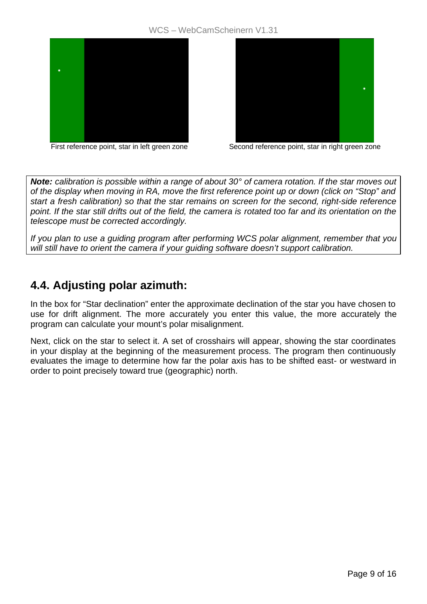#### WCS – WebCamScheinern V1.31





First reference point, star in left green zone Second reference point, star in right green zone

*Note: calibration is possible within a range of about 30° of camera rotation. If the star moves out of the display when moving in RA, move the first reference point up or down (click on "Stop" and start a fresh calibration) so that the star remains on screen for the second, right-side reference point. If the star still drifts out of the field, the camera is rotated too far and its orientation on the telescope must be corrected accordingly.* 

*If you plan to use a guiding program after performing WCS polar alignment, remember that you will still have to orient the camera if your guiding software doesn't support calibration.* 

### **4.4. Adjusting polar azimuth:**

In the box for "Star declination" enter the approximate declination of the star you have chosen to use for drift alignment. The more accurately you enter this value, the more accurately the program can calculate your mount's polar misalignment.

Next, click on the star to select it. A set of crosshairs will appear, showing the star coordinates in your display at the beginning of the measurement process. The program then continuously evaluates the image to determine how far the polar axis has to be shifted east- or westward in order to point precisely toward true (geographic) north.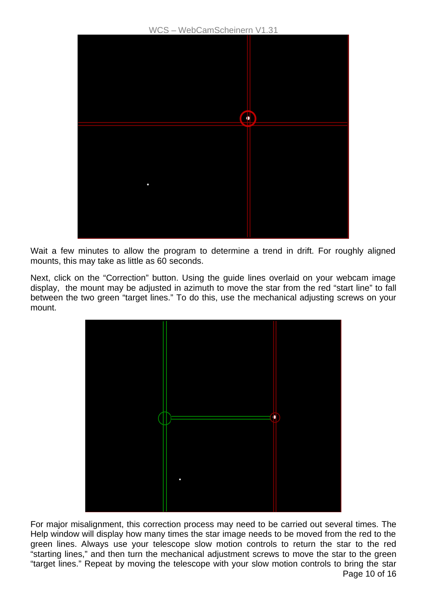

Wait a few minutes to allow the program to determine a trend in drift. For roughly aligned mounts, this may take as little as 60 seconds.

Next, click on the "Correction" button. Using the guide lines overlaid on your webcam image display, the mount may be adjusted in azimuth to move the star from the red "start line" to fall between the two green "target lines." To do this, use the mechanical adjusting screws on your mount.



Page 10 of 16 For major misalignment, this correction process may need to be carried out several times. The Help window will display how many times the star image needs to be moved from the red to the green lines. Always use your telescope slow motion controls to return the star to the red "starting lines," and then turn the mechanical adjustment screws to move the star to the green "target lines." Repeat by moving the telescope with your slow motion controls to bring the star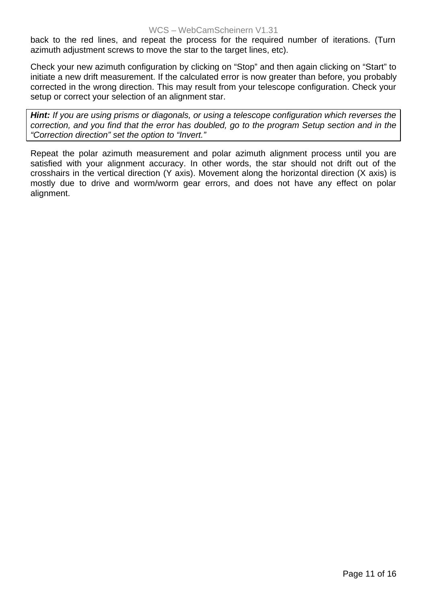back to the red lines, and repeat the process for the required number of iterations. (Turn azimuth adjustment screws to move the star to the target lines, etc).

Check your new azimuth configuration by clicking on "Stop" and then again clicking on "Start" to initiate a new drift measurement. If the calculated error is now greater than before, you probably corrected in the wrong direction. This may result from your telescope configuration. Check your setup or correct your selection of an alignment star.

*Hint: If you are using prisms or diagonals, or using a telescope configuration which reverses the correction, and you find that the error has doubled, go to the program Setup section and in the "Correction direction" set the option to "Invert."* 

Repeat the polar azimuth measurement and polar azimuth alignment process until you are satisfied with your alignment accuracy. In other words, the star should not drift out of the crosshairs in the vertical direction (Y axis). Movement along the horizontal direction (X axis) is mostly due to drive and worm/worm gear errors, and does not have any effect on polar alignment.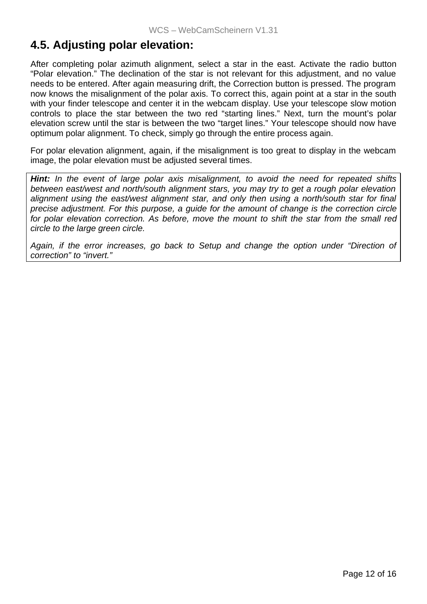### **4.5. Adjusting polar elevation:**

After completing polar azimuth alignment, select a star in the east. Activate the radio button "Polar elevation." The declination of the star is not relevant for this adjustment, and no value needs to be entered. After again measuring drift, the Correction button is pressed. The program now knows the misalignment of the polar axis. To correct this, again point at a star in the south with your finder telescope and center it in the webcam display. Use your telescope slow motion controls to place the star between the two red "starting lines." Next, turn the mount's polar elevation screw until the star is between the two "target lines." Your telescope should now have optimum polar alignment. To check, simply go through the entire process again.

For polar elevation alignment, again, if the misalignment is too great to display in the webcam image, the polar elevation must be adjusted several times.

*Hint: In the event of large polar axis misalignment, to avoid the need for repeated shifts between east/west and north/south alignment stars, you may try to get a rough polar elevation alignment using the east/west alignment star, and only then using a north/south star for final precise adjustment. For this purpose, a guide for the amount of change is the correction circle for polar elevation correction. As before, move the mount to shift the star from the small red circle to the large green circle.* 

*Again, if the error increases, go back to Setup and change the option under "Direction of correction" to "invert."*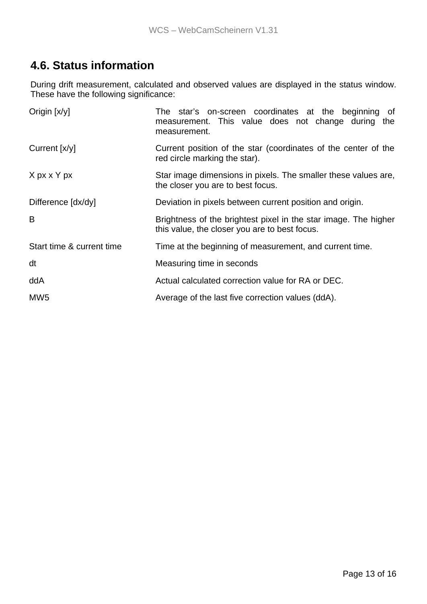### **4.6. Status information**

During drift measurement, calculated and observed values are displayed in the status window. These have the following significance:

| Origin [x/y]              | The star's on-screen coordinates at the beginning<br>of<br>measurement. This value does not change during the<br>measurement. |  |
|---------------------------|-------------------------------------------------------------------------------------------------------------------------------|--|
| Current [x/y]             | Current position of the star (coordinates of the center of the<br>red circle marking the star).                               |  |
| X px x Y px               | Star image dimensions in pixels. The smaller these values are,<br>the closer you are to best focus.                           |  |
| Difference [dx/dy]        | Deviation in pixels between current position and origin.                                                                      |  |
| B                         | Brightness of the brightest pixel in the star image. The higher<br>this value, the closer you are to best focus.              |  |
| Start time & current time | Time at the beginning of measurement, and current time.                                                                       |  |
| dt                        | Measuring time in seconds                                                                                                     |  |
| ddA                       | Actual calculated correction value for RA or DEC.                                                                             |  |
| MW <sub>5</sub>           | Average of the last five correction values (ddA).                                                                             |  |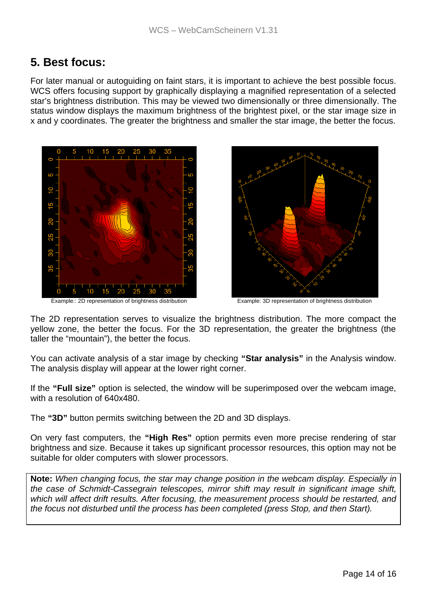### **5. Best focus:**

For later manual or autoguiding on faint stars, it is important to achieve the best possible focus. WCS offers focusing support by graphically displaying a magnified representation of a selected star's brightness distribution. This may be viewed two dimensionally or three dimensionally. The status window displays the maximum brightness of the brightest pixel, or the star image size in x and y coordinates. The greater the brightness and smaller the star image, the better the focus.







The 2D representation serves to visualize the brightness distribution. The more compact the yellow zone, the better the focus. For the 3D representation, the greater the brightness (the taller the "mountain"), the better the focus.

You can activate analysis of a star image by checking **"Star analysis"** in the Analysis window. The analysis display will appear at the lower right corner.

If the **"Full size"** option is selected, the window will be superimposed over the webcam image, with a resolution of 640x480.

The **"3D"** button permits switching between the 2D and 3D displays.

On very fast computers, the **"High Res"** option permits even more precise rendering of star brightness and size. Because it takes up significant processor resources, this option may not be suitable for older computers with slower processors.

**Note:** *When changing focus, the star may change position in the webcam display. Especially in the case of Schmidt-Cassegrain telescopes, mirror shift may result in significant image shift, which will affect drift results. After focusing, the measurement process should be restarted, and the focus not disturbed until the process has been completed (press Stop, and then Start).*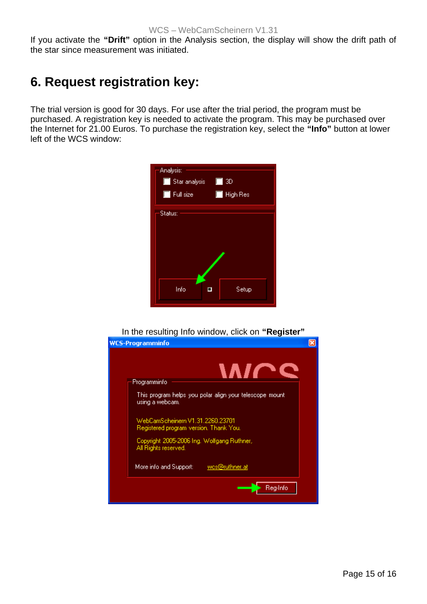If you activate the **"Drift"** option in the Analysis section, the display will show the drift path of the star since measurement was initiated.

# **6. Request registration key:**

The trial version is good for 30 days. For use after the trial period, the program must be purchased. A registration key is needed to activate the program. This may be purchased over the Internet for 21.00 Euros. To purchase the registration key, select the **"Info"** button at lower left of the WCS window:

| Analysis:<br>$\blacksquare$ Star analysis<br>$\blacksquare$ Full size | $\Box$ 3D<br>High Res<br>$\Box$ |  |  |  |
|-----------------------------------------------------------------------|---------------------------------|--|--|--|
| Status:                                                               |                                 |  |  |  |
| Info                                                                  | Setup                           |  |  |  |

In the resulting Info window, click on **"Register"**